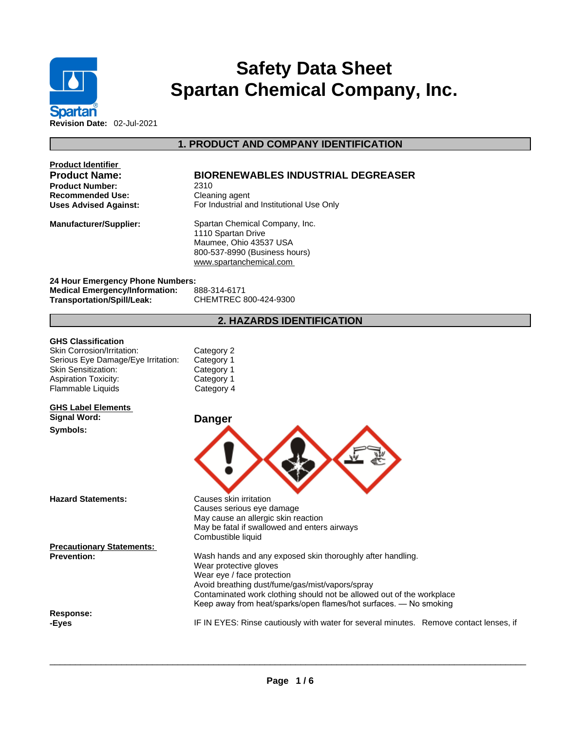

# **Safety Data Sheet Spartan Chemical Company, Inc.**

**Product Identifier Product Number:** 2310 **Recommended Use:** Cleaning agent

# **Product Name: BIORENEWABLES INDUSTRIAL DEGREASER**

**1. PRODUCT AND COMPANY IDENTIFICATION** 

**Uses Advised Against:** For Industrial and Institutional Use Only

**Manufacturer/Supplier:** Spartan Chemical Company, Inc. 1110 Spartan Drive Maumee, Ohio 43537 USA 800-537-8990 (Business hours) <www.spartanchemical.com>

**24 Hour Emergency Phone Numbers: Medical Emergency/Information:** 888-314-6171 **Transportation/Spill/Leak:** CHEMTREC 800-424-9300

# **2. HAZARDS IDENTIFICATION**

#### **GHS Classification**

| Category 2 |
|------------|
| Category 1 |
| Category 1 |
| Category 1 |
| Category 4 |
|            |

#### **GHS Label Elements Signal Word: Danger**

**Symbols:** 

**Hazard Statements:** Causes skin irritation

**Precautionary Statements:**

**Response:** 



Causes serious eye damage May cause an allergic skin reaction May be fatal if swallowed and enters airways Combustible liquid

**Prevention:** Wash hands and any exposed skin thoroughly after handling. Wear protective gloves Wear eye / face protection Avoid breathing dust/fume/gas/mist/vapors/spray Contaminated work clothing should not be allowed out of the workplace Keep away from heat/sparks/open flames/hot surfaces. — No smoking

**-Eyes** IF IN EYES: Rinse cautiously with water forseveral minutes. Remove contact lenses, if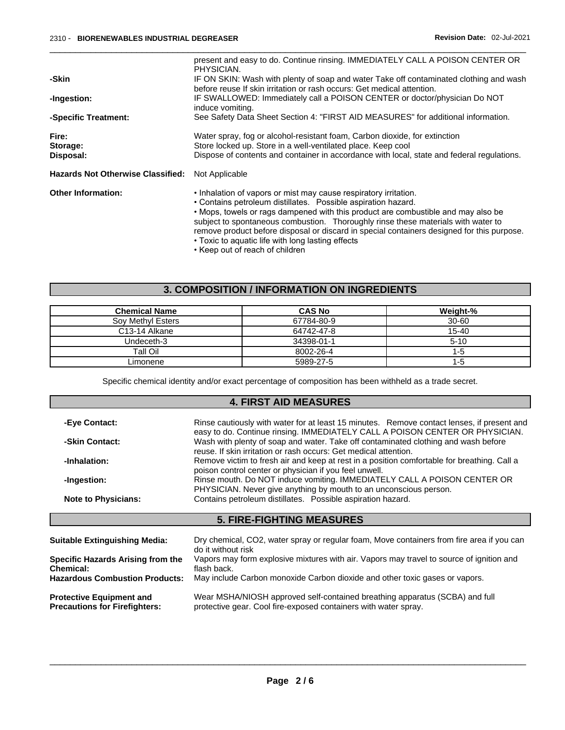|                                          | present and easy to do. Continue rinsing. IMMEDIATELY CALL A POISON CENTER OR<br>PHYSICIAN.                                                                                                                                                                                                                                                                                                                                                                                                        |
|------------------------------------------|----------------------------------------------------------------------------------------------------------------------------------------------------------------------------------------------------------------------------------------------------------------------------------------------------------------------------------------------------------------------------------------------------------------------------------------------------------------------------------------------------|
| -Skin                                    | IF ON SKIN: Wash with plenty of soap and water Take off contaminated clothing and wash<br>before reuse If skin irritation or rash occurs: Get medical attention.                                                                                                                                                                                                                                                                                                                                   |
| -Ingestion:                              | IF SWALLOWED: Immediately call a POISON CENTER or doctor/physician Do NOT<br>induce vomiting.                                                                                                                                                                                                                                                                                                                                                                                                      |
| -Specific Treatment:                     | See Safety Data Sheet Section 4: "FIRST AID MEASURES" for additional information.                                                                                                                                                                                                                                                                                                                                                                                                                  |
| Fire:<br>Storage:<br>Disposal:           | Water spray, fog or alcohol-resistant foam, Carbon dioxide, for extinction<br>Store locked up. Store in a well-ventilated place. Keep cool<br>Dispose of contents and container in accordance with local, state and federal regulations.                                                                                                                                                                                                                                                           |
| <b>Hazards Not Otherwise Classified:</b> | Not Applicable                                                                                                                                                                                                                                                                                                                                                                                                                                                                                     |
| <b>Other Information:</b>                | . Inhalation of vapors or mist may cause respiratory irritation.<br>• Contains petroleum distillates. Possible aspiration hazard.<br>• Mops, towels or rags dampened with this product are combustible and may also be<br>subject to spontaneous combustion. Thoroughly rinse these materials with water to<br>remove product before disposal or discard in special containers designed for this purpose.<br>• Toxic to aguatic life with long lasting effects<br>. Keen out of reach of children. |

• Keep out of reach of children

# **3. COMPOSITION / INFORMATION ON INGREDIENTS**

| <b>Chemical Name</b>       | <b>CAS No</b> | Weight-%  |
|----------------------------|---------------|-----------|
| Sov Methyl Esters          | 67784-80-9    | $30 - 60$ |
| C <sub>13</sub> -14 Alkane | 64742-47-8    | 15-40     |
| Undeceth-3                 | 34398-01-1    | $5 - 10$  |
| Tall Oil                   | 8002-26-4     | $1 - 5$   |
| Limonene                   | 5989-27-5     | 1-5       |

Specific chemical identity and/or exact percentage of composition has been withheld as a trade secret.

## **4. FIRST AID MEASURES**

| -Eye Contact:                                                           | Rinse cautiously with water for at least 15 minutes. Remove contact lenses, if present and<br>easy to do. Continue rinsing. IMMEDIATELY CALL A POISON CENTER OR PHYSICIAN. |  |
|-------------------------------------------------------------------------|----------------------------------------------------------------------------------------------------------------------------------------------------------------------------|--|
| -Skin Contact:                                                          | Wash with plenty of soap and water. Take off contaminated clothing and wash before<br>reuse. If skin irritation or rash occurs: Get medical attention.                     |  |
| -Inhalation:                                                            | Remove victim to fresh air and keep at rest in a position comfortable for breathing. Call a<br>poison control center or physician if you feel unwell.                      |  |
| -Ingestion:                                                             | Rinse mouth. Do NOT induce vomiting. IMMEDIATELY CALL A POISON CENTER OR<br>PHYSICIAN. Never give anything by mouth to an unconscious person.                              |  |
| <b>Note to Physicians:</b>                                              | Contains petroleum distillates. Possible aspiration hazard.                                                                                                                |  |
|                                                                         | <b>5. FIRE-FIGHTING MEASURES</b>                                                                                                                                           |  |
|                                                                         |                                                                                                                                                                            |  |
| <b>Suitable Extinguishing Media:</b>                                    | Dry chemical, CO2, water spray or regular foam, Move containers from fire area if you can<br>do it without risk                                                            |  |
| Specific Hazards Arising from the<br><b>Chemical:</b>                   | Vapors may form explosive mixtures with air. Vapors may travel to source of ignition and<br>flash back.                                                                    |  |
| <b>Hazardous Combustion Products:</b>                                   | May include Carbon monoxide Carbon dioxide and other toxic gases or vapors.                                                                                                |  |
| <b>Protective Equipment and</b><br><b>Precautions for Firefighters:</b> | Wear MSHA/NIOSH approved self-contained breathing apparatus (SCBA) and full<br>protective gear. Cool fire-exposed containers with water spray.                             |  |
|                                                                         |                                                                                                                                                                            |  |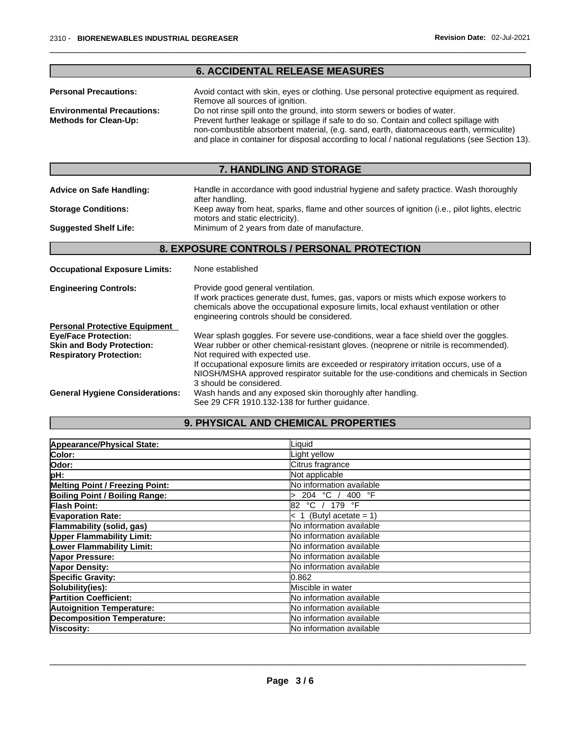|                                                                                                   | <b>6. ACCIDENTAL RELEASE MEASURES</b>                                                                                                                                                                                                                                                                                                                              |
|---------------------------------------------------------------------------------------------------|--------------------------------------------------------------------------------------------------------------------------------------------------------------------------------------------------------------------------------------------------------------------------------------------------------------------------------------------------------------------|
| <b>Personal Precautions:</b>                                                                      | Avoid contact with skin, eyes or clothing. Use personal protective equipment as required.<br>Remove all sources of ignition.                                                                                                                                                                                                                                       |
| <b>Environmental Precautions:</b><br><b>Methods for Clean-Up:</b>                                 | Do not rinse spill onto the ground, into storm sewers or bodies of water.<br>Prevent further leakage or spillage if safe to do so. Contain and collect spillage with<br>non-combustible absorbent material, (e.g. sand, earth, diatomaceous earth, vermiculite)<br>and place in container for disposal according to local / national regulations (see Section 13). |
|                                                                                                   | 7. HANDLING AND STORAGE                                                                                                                                                                                                                                                                                                                                            |
| <b>Advice on Safe Handling:</b>                                                                   | Handle in accordance with good industrial hygiene and safety practice. Wash thoroughly<br>after handling.                                                                                                                                                                                                                                                          |
| <b>Storage Conditions:</b>                                                                        | Keep away from heat, sparks, flame and other sources of ignition (i.e., pilot lights, electric<br>motors and static electricity).                                                                                                                                                                                                                                  |
| <b>Suggested Shelf Life:</b>                                                                      | Minimum of 2 years from date of manufacture.                                                                                                                                                                                                                                                                                                                       |
|                                                                                                   | 8. EXPOSURE CONTROLS / PERSONAL PROTECTION                                                                                                                                                                                                                                                                                                                         |
| <b>Occupational Exposure Limits:</b>                                                              | None established                                                                                                                                                                                                                                                                                                                                                   |
| <b>Engineering Controls:</b>                                                                      | Provide good general ventilation.<br>If work practices generate dust, fumes, gas, vapors or mists which expose workers to<br>chemicals above the occupational exposure limits, local exhaust ventilation or other<br>engineering controls should be considered.                                                                                                    |
| <b>Personal Protective Equipment</b>                                                              |                                                                                                                                                                                                                                                                                                                                                                    |
| <b>Eye/Face Protection:</b><br><b>Skin and Body Protection:</b><br><b>Respiratory Protection:</b> | Wear splash goggles. For severe use-conditions, wear a face shield over the goggles.<br>Wear rubber or other chemical-resistant gloves. (neoprene or nitrile is recommended).<br>Not required with expected use.<br>If occupational exposure limits are exceeded or respiratory irritation occurs, use of a                                                        |
|                                                                                                   | NIOSH/MSHA approved respirator suitable for the use-conditions and chemicals in Section                                                                                                                                                                                                                                                                            |

# **9. PHYSICAL AND CHEMICAL PROPERTIES**

| Appearance/Physical State:             | Liguid                    |
|----------------------------------------|---------------------------|
| Color:                                 | Light yellow              |
| Odor:                                  | Citrus fragrance          |
| pH:                                    | Not applicable            |
| <b>Melting Point / Freezing Point:</b> | No information available  |
| <b>Boiling Point / Boiling Range:</b>  | 204 °C /<br>400 °F        |
| Flash Point:                           | °C / 179 °F<br>82.        |
| <b>Evaporation Rate:</b>               | $< 1$ (Butyl acetate = 1) |
| Flammability (solid, gas)              | No information available  |
| <b>Upper Flammability Limit:</b>       | No information available  |
| <b>Lower Flammability Limit:</b>       | No information available  |
| Vapor Pressure:                        | No information available  |
| Vapor Density:                         | No information available  |
| <b>Specific Gravity:</b>               | 0.862                     |
| Solubility(ies):                       | Miscible in water         |
| <b>Partition Coefficient:</b>          | No information available  |
| <b>Autoignition Temperature:</b>       | No information available  |
| Decomposition Temperature:             | No information available  |
| Viscosity:                             | No information available  |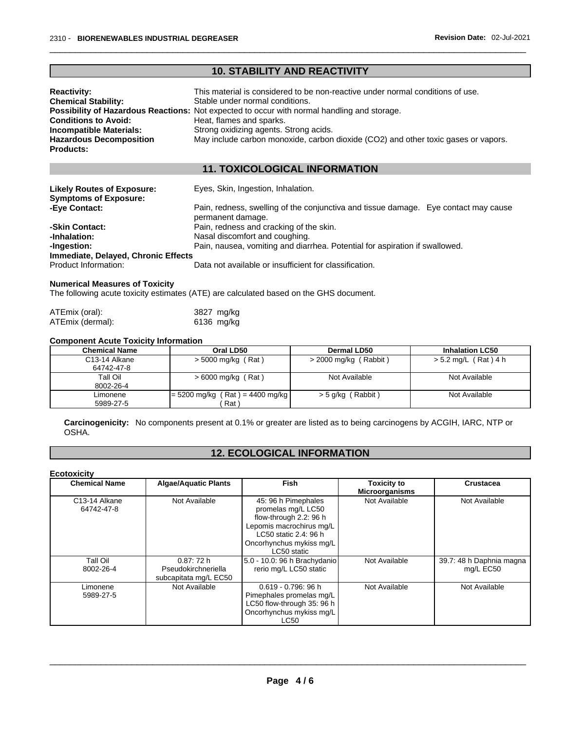|                                                                   | <b>10. STABILITY AND REACTIVITY</b>                                                                      |
|-------------------------------------------------------------------|----------------------------------------------------------------------------------------------------------|
| <b>Reactivity:</b>                                                | This material is considered to be non-reactive under normal conditions of use.                           |
| <b>Chemical Stability:</b>                                        | Stable under normal conditions.                                                                          |
|                                                                   | Possibility of Hazardous Reactions: Not expected to occur with normal handling and storage.              |
| <b>Conditions to Avoid:</b>                                       | Heat, flames and sparks.                                                                                 |
| Incompatible Materials:                                           | Strong oxidizing agents. Strong acids.                                                                   |
| <b>Hazardous Decomposition</b>                                    | May include carbon monoxide, carbon dioxide (CO2) and other toxic gases or vapors.                       |
| <b>Products:</b>                                                  |                                                                                                          |
|                                                                   | <b>11. TOXICOLOGICAL INFORMATION</b>                                                                     |
|                                                                   |                                                                                                          |
| <b>Likely Routes of Exposure:</b><br><b>Symptoms of Exposure:</b> | Eyes, Skin, Ingestion, Inhalation.                                                                       |
| -Eye Contact:                                                     | Pain, redness, swelling of the conjunctiva and tissue damage. Eye contact may cause<br>permanent damage. |
| -Skin Contact:                                                    | Pain, redness and cracking of the skin.                                                                  |
| -Inhalation:                                                      | Nasal discomfort and coughing.                                                                           |
| -Ingestion:                                                       | Pain, nausea, vomiting and diarrhea. Potential for aspiration if swallowed.                              |
| Immediate, Delayed, Chronic Effects                               |                                                                                                          |
| Product Information:                                              | Data not available or insufficient for classification.                                                   |
|                                                                   |                                                                                                          |

#### **Numerical Measures of Toxicity**

The following acute toxicity estimates (ATE) are calculated based on the GHS document.

| ATEmix (oral):   | 3827 mg/kg |
|------------------|------------|
| ATEmix (dermal): | 6136 mg/kg |

#### **Component Acute Toxicity Information**

| <b>Chemical Name</b> | Oral LD50                         | Dermal LD50           | <b>Inhalation LC50</b> |
|----------------------|-----------------------------------|-----------------------|------------------------|
| C13-14 Alkane        | > 5000 mg/kg (Rat)                | > 2000 mg/kg (Rabbit) | $> 5.2$ mg/L (Rat) 4 h |
| 64742-47-8           |                                   |                       |                        |
| Tall Oil             | > 6000 mg/kg (Rat)                | Not Available         | Not Available          |
| 8002-26-4            |                                   |                       |                        |
| Limonene             | $= 5200$ mg/kg (Rat) = 4400 mg/kg | $>$ 5 g/kg (Rabbit)   | Not Available          |
| 5989-27-5            | Rat                               |                       |                        |

**Carcinogenicity:** No components present at 0.1% or greater arelisted as to being carcinogens by ACGIH, IARC, NTP or OSHA.

# **12. ECOLOGICAL INFORMATION**

#### **Ecotoxicity**

| <b>Chemical Name</b>                     | <b>Algae/Aquatic Plants</b>                              | <b>Fish</b>                                                                                                                                                         | <b>Toxicity to</b><br><b>Microorganisms</b> | <b>Crustacea</b>                      |
|------------------------------------------|----------------------------------------------------------|---------------------------------------------------------------------------------------------------------------------------------------------------------------------|---------------------------------------------|---------------------------------------|
| C <sub>13</sub> -14 Alkane<br>64742-47-8 | Not Available                                            | 45: 96 h Pimephales<br>promelas mg/L LC50<br>flow-through 2.2: 96 h<br>Lepomis macrochirus mg/L<br>LC50 static 2.4: 96 h<br>Oncorhynchus mykiss mg/L<br>LC50 static | Not Available                               | Not Available                         |
| Tall Oil<br>8002-26-4                    | 0.87:72h<br>Pseudokirchneriella<br>subcapitata mg/L EC50 | 5.0 - 10.0: 96 h Brachydanio<br>rerio mg/L LC50 static                                                                                                              | Not Available                               | 39.7: 48 h Daphnia magna<br>mg/L EC50 |
| Limonene<br>5989-27-5                    | Not Available                                            | $0.619 - 0.796$ : 96 h<br>Pimephales promelas mg/L<br>LC50 flow-through 35: 96 h<br>Oncorhynchus mykiss mg/L<br><b>LC50</b>                                         | Not Available                               | Not Available                         |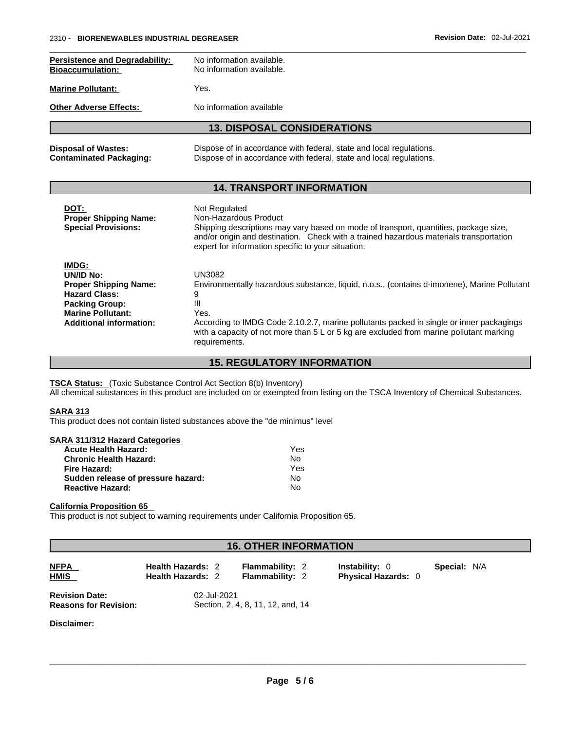| <b>Persistence and Degradability:</b><br><b>Bioaccumulation:</b> | No information available.<br>No information available.              |
|------------------------------------------------------------------|---------------------------------------------------------------------|
| <b>Marine Pollutant:</b>                                         | Yes.                                                                |
| <b>Other Adverse Effects:</b>                                    | No information available                                            |
|                                                                  | <b>13. DISPOSAL CONSIDERATIONS</b>                                  |
| <b>Disposal of Wastes:</b>                                       | Dispose of in accordance with federal, state and local regulations. |

#### **14. TRANSPORT INFORMATION**

**Contaminated Packaging:** Dispose of in accordance with federal, state and local regulations.

| DOT:<br><b>Proper Shipping Name:</b><br><b>Special Provisions:</b>                                                                                                | Not Regulated<br>Non-Hazardous Product<br>Shipping descriptions may vary based on mode of transport, quantities, package size,<br>and/or origin and destination. Check with a trained hazardous materials transportation<br>expert for information specific to your situation.                                                                     |
|-------------------------------------------------------------------------------------------------------------------------------------------------------------------|----------------------------------------------------------------------------------------------------------------------------------------------------------------------------------------------------------------------------------------------------------------------------------------------------------------------------------------------------|
| IMDG:<br>UN/ID No:<br><b>Proper Shipping Name:</b><br><b>Hazard Class:</b><br><b>Packing Group:</b><br><b>Marine Pollutant:</b><br><b>Additional information:</b> | UN3082<br>Environmentally hazardous substance, liquid, n.o.s., (contains d-imonene), Marine Pollutant<br>9<br>Ш<br>Yes.<br>According to IMDG Code 2.10.2.7, marine pollutants packed in single or inner packagings<br>with a capacity of not more than $5 \text{ L}$ or $5 \text{ kg}$ are excluded from marine pollutant marking<br>requirements. |

#### **15. REGULATORY INFORMATION**

**TSCA Status:** (Toxic Substance Control Act Section 8(b) Inventory)

All chemical substances in this product are included on or exempted from listing on the TSCA Inventory of Chemical Substances.

#### **SARA 313**

This product does not contain listed substances above the "de minimus" level

#### **SARA 311/312 Hazard Categories**

| <b>Acute Health Hazard:</b>        | Yes |
|------------------------------------|-----|
| <b>Chronic Health Hazard:</b>      | No  |
| Fire Hazard:                       | Yes |
| Sudden release of pressure hazard: | No  |
| <b>Reactive Hazard:</b>            | N٥  |

#### **California Proposition 65**

This product is not subject to warning requirements under California Proposition 65.

### **16. OTHER INFORMATION**

**NFPA Health Hazards:** 2 **Flammability:** 2 **Instability:** 0 **Special:** N/A **HMIS Health Hazards:** 2 **Flammability:** 2 **Physical Hazards:** 0

**Revision Date:** 02-Jul-2021<br>**Reasons for Revision:** Section, 2, 4

**Reasons for Revision:** Section, 2, 4, 8, 11, 12, and, 14

**Disclaimer:**